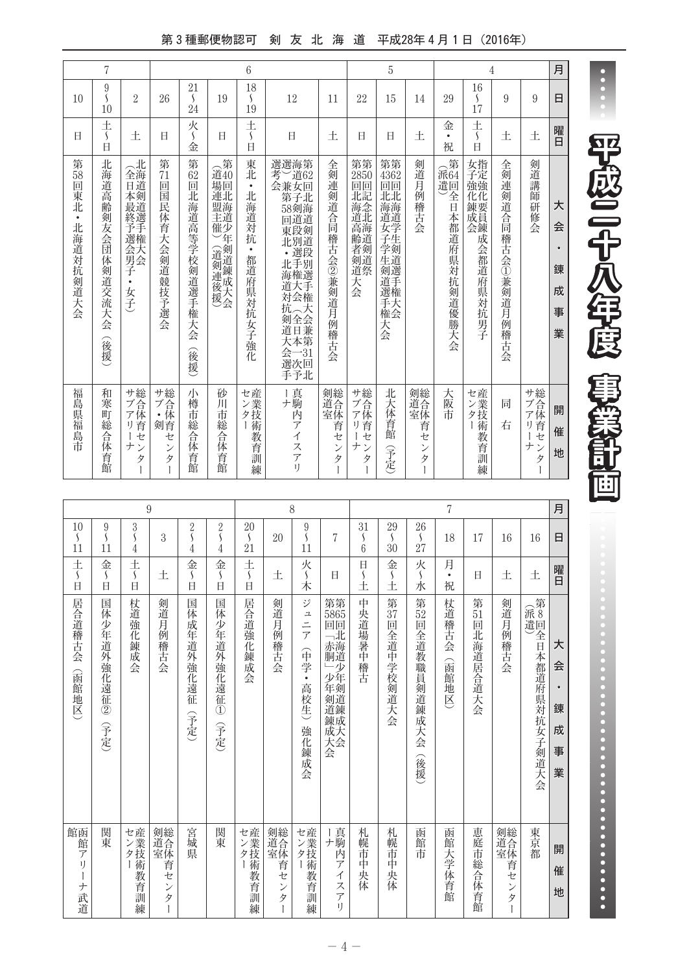第3種郵便物認可 剣 友 北 海 道 平成28年4月1日 (2016年)

|                                  | 7                                      |                                                      |                                 |                                            |                                                         | $6\phantom{1}6$                                         |                                                                                                                                                        |                                                |                                                                | 5                                                                                |                               |                                                 | 4                                                                                                                                                                         |                     |                                                                            | 月                                       |
|----------------------------------|----------------------------------------|------------------------------------------------------|---------------------------------|--------------------------------------------|---------------------------------------------------------|---------------------------------------------------------|--------------------------------------------------------------------------------------------------------------------------------------------------------|------------------------------------------------|----------------------------------------------------------------|----------------------------------------------------------------------------------|-------------------------------|-------------------------------------------------|---------------------------------------------------------------------------------------------------------------------------------------------------------------------------|---------------------|----------------------------------------------------------------------------|-----------------------------------------|
| 10                               | 9<br>$\mathcal{L}_{\mathcal{L}}$<br>10 | $\overline{2}$                                       | 26                              | 21<br>$\mathcal{L}_{\mathcal{L}}$<br>24    | 19                                                      | 18<br>$\mathcal{L}_{\mathcal{L}}$<br>19                 | 12                                                                                                                                                     | 11                                             | 22                                                             | 15                                                                               | 14                            | 29                                              | 16<br>S<br>17                                                                                                                                                             | 9                   | 9                                                                          | Β                                       |
| Ħ                                | 土<br>$\mathcal{S}_{\mathcal{S}}$<br>日  | 土                                                    | Ħ                               | 火<br>$\mathcal{L}_{\mathcal{L}}$<br>金      | Ħ                                                       | 土<br>$\mathcal{S}_{\mathcal{S}}$<br>$\Box$              | 日                                                                                                                                                      | 土                                              | Ħ                                                              | Ħ                                                                                | 土                             | 金<br>$\bullet$<br>祝                             | 土<br>$\mathcal{S}_{\mathcal{S}}$<br>日                                                                                                                                     | 土                   | 土                                                                          | 曜日                                      |
| 第58回東北<br>$\bullet$<br>北海道対抗剣道大会 | 北海道高齢剣友会団<br>体剣道交流大会<br>(後援)           | (北<br>全海<br>百道<br>本最終予選会男子<br>$\bullet$<br>女子        | 第<br>71<br>回<br>国民体育大会剣道競技予選会   | 第<br>62<br>回<br>北海道高等学校剣道選手権<br>大会<br>(後援) | 合第<br>道40<br>場回<br>連北<br>盟海<br>主道<br>催少<br>斥<br>(道剣連後援) | 東北<br>$\bullet$<br>北海道対抗<br>$\bullet$<br>都道府県対抗<br>女子強化 | 選選海第<br>考)道62<br>会兼女回<br>第子北<br>58剣海<br>回道道<br>東段剣<br>北別道<br>·選段<br>北手別<br>海権選<br>:<br>道大手<br>対会権<br>抗人大<br><b>和全会兼第</b><br>道日本第<br>会一31<br>選次回<br>手予北 | 全剣連剣道合同稽古会②兼剣道月例稽古会                            | 第第<br>2850<br>回回<br>北記<br><b>海念</b><br>道北<br>是高齢者剣道:<br>天<br>会 | 第第<br>4362<br>回回<br>北北<br><b>海海道</b><br>)<br>女学<br>子生<br>-学生剣道選手:<br>)選手権:<br>大会 | 剣道月例稽古会                       | 第<br>(派64<br>遣回<br>全<br>日本都道府<br>"県対抗<br>剣道優勝大会 | 女指<br>子定<br>強強<br>化化<br><b>____</b><br>竦夏<br>,会,<br>,<br><br><br><br><br><br><br><br><br><br><br><br><br><br><br><br><br><br><br><br><br><br><br><br><br><br><br><br><br> | 全剣連剣道合同稽古会①兼剣道月例稽古会 | 剣道講<br>師<br>研<br>修会                                                        | 大<br>会<br>$\bullet$<br>錬<br>成<br>事<br>業 |
| 福島県福島市                           | 和<br>寒<br>町総合体育館                       | サ総<br>ブ合体<br>首<br>IJ<br>セ<br>ナ<br>$\mathcal{V}$<br>タ | サ総<br>ブ合<br>: 体<br>剣育<br>セ<br>タ | 小<br>樽<br>市<br>総<br>즘<br>体<br>一有館          | 砂<br>Л<br>市総合体育館                                        | センター<br>産業技術教育訓練                                        | Ⅰ真<br>ナ駒<br>芮<br>デ<br>$\overline{\mathcal{A}}$<br>スアリ                                                                                                  | 剣総<br>道合体<br>首<br>セ<br>$\mathcal{V}$<br>タ<br>Ť | サブアリ、<br>セ<br>ナ<br>$\mathcal{V}$<br>タ                          | 北大体育館<br>(予定)                                                                    | 剣総<br>道合体<br>育<br>セ<br>ン<br>タ | 大阪市                                             | セ産<br>こンター<br>教<br>云育訓練                                                                                                                                                   | 同<br>右              | サ総<br>ブ合<br>体<br>$\overline{r}$<br>育<br>H)<br>セ<br>ナ<br>$\mathcal{L}$<br>タ | 開<br>催<br>地                             |

|                                                       |                                                    |                                                    | 9                                     |                                                    |                                                    |                                         |                                  | 8                                                                        |                                                                   |                                        |                                         |                                         | 7                   |                          |                                  |                            | 月                          |
|-------------------------------------------------------|----------------------------------------------------|----------------------------------------------------|---------------------------------------|----------------------------------------------------|----------------------------------------------------|-----------------------------------------|----------------------------------|--------------------------------------------------------------------------|-------------------------------------------------------------------|----------------------------------------|-----------------------------------------|-----------------------------------------|---------------------|--------------------------|----------------------------------|----------------------------|----------------------------|
| 10<br>S<br>11                                         | $\boldsymbol{9}$<br>$\mathsf{\mathsf{S}}$<br>11    | 3<br>$\mathsf{\mathsf{S}}$<br>4                    | 3                                     | $\overline{2}$<br>$\overline{\varsigma}$<br>4      | $\overline{2}$<br>$\mathcal{S}_{\mathcal{S}}$<br>4 | 20<br>$\mathcal{S}_{\mathcal{S}}$<br>21 | 20                               | 9<br>$\mathcal{S}_{\mathcal{S}}$<br>11                                   | 7                                                                 | 31<br>S<br>6                           | 29<br>$\mathcal{S}_{\mathcal{S}}$<br>30 | 26<br>$\mathcal{S}_{\mathcal{S}}$<br>27 | 18                  | 17                       | 16                               | 16                         | 日                          |
| $rac{+}{\sqrt{2}}$<br>日                               | 金<br>$\mathcal{S}_{\mathcal{S}}$<br>$\overline{B}$ | 土<br>$\mathcal{S}_{\mathcal{S}}$<br>$\overline{H}$ | 土                                     | 金<br>$\mathcal{L}_{\mathcal{L}}$<br>$\overline{H}$ | 金<br>$\mathcal{S}_{\mathcal{S}}$<br>$\overline{a}$ | $rac{+}{5}$<br>$\overline{a}$           | 土                                | 火<br>木                                                                   | 日                                                                 | $\Box$<br>$\overline{\mathsf{S}}$<br>Ŧ | 金<br>$\mathcal{S}_{\mathcal{S}}$<br>Í   | 火<br>$\mathcal{S}_{\mathcal{S}}$<br>水   | 月<br>$\bullet$<br>祝 | Ħ                        | 土                                | 土                          | 曜日                         |
| 居合道稽古会<br>(函館地区)                                      | 国体少年道外強化遠征②<br>(予定)                                | 杖道強<br>二化錬成<br>会                                   | 剣道月例稽古<br>승                           | 国体成年道外強化遠征<br>(予定)                                 | 国体<br>少年道外強化遠征①<br>(予定)                            | 居合道強化錬成会                                | 剣道月例稽古会                          | ジ<br>$\overline{\mathbf{r}}$<br>ニニア<br>(中学<br>$\bullet$<br>高校生)<br>強化錬成会 | 第第<br>5865<br>回回<br>1「赤胴道<br>」少年剣道錬成大会少年剣道錬成大会                    | 中央道場暑中稽古                               | 第<br>37<br>回全道中学校剣道大会                   | 第52回全道教職員剣道錬成大会<br>(後援)                 | 杖道稽古会<br>(函館地区      | 第<br>51<br>回<br>北海道居合道大会 | 剣道月例稽古<br>会                      | (派遣)<br>第8回全日本都道府県対抗女子剣道大会 | 大<br>会<br>錬<br>成<br>事<br>業 |
| 館函<br>館<br>$\overline{\mathcal{T}}$<br>I)<br>Ť<br>ナ武道 | 関東                                                 | センター<br>薮<br>育訓<br>練                               | 剣道全体育<br>セ<br>$\mathcal{V}$<br>タ<br>Ì | 宮城<br>廙                                            | 関東                                                 | セン<br><br>クイ<br><br>教育訓練                | 剣道全体育<br>セ<br>$\mathcal{V}$<br>タ | セン<br>女技術:<br>数<br>云育訓練                                                  | Ⅰ真<br>ナ駒<br>内<br>$\overline{f}$<br>イ<br>ス<br>$\overline{f}$<br>ı) | 札幌市中<br>央体                             | 札幌市<br>中<br>央体                          | 函館市                                     | 函館大学体育館             | 恵庭市総合体育館                 | 剣道全体育<br>セ<br>$\mathcal{V}$<br>タ | 東京都                        | 開<br>催<br>地                |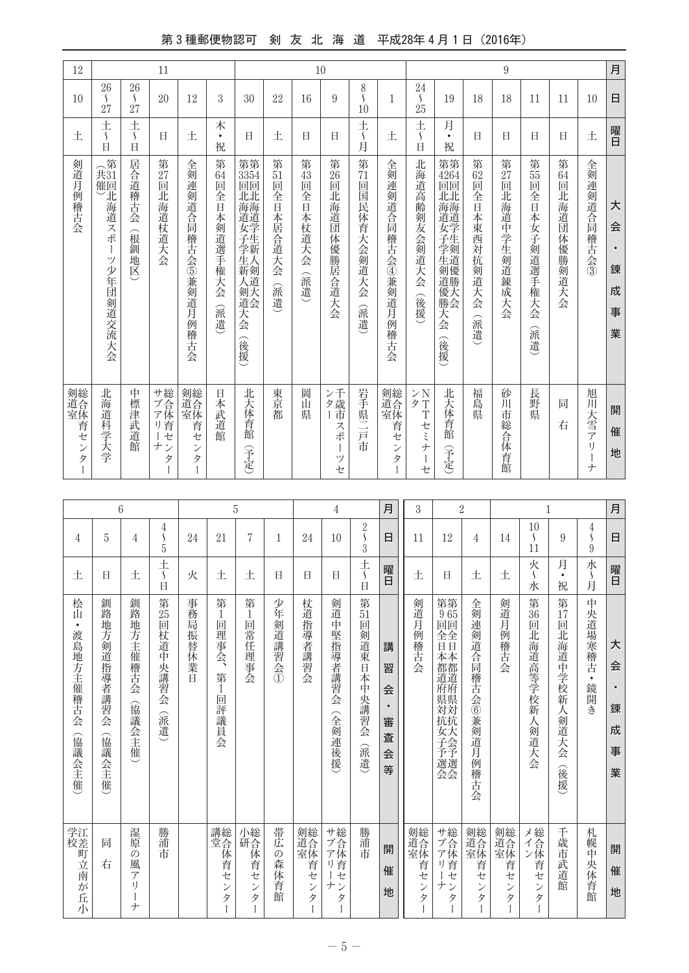## 第3種郵便物認可 剣 友 北 海 道 平成28年4月1日 (2016年)

| 12                                     |                                            |                                            | 11                                    |                                        |                                       |                                                                              |                                              |                                 | $10\,$                                        |                               |                                                      |                                                                                                     |                                                              |                                     | $\overline{9}$              |                                          |                             |                                    | 月                                       |
|----------------------------------------|--------------------------------------------|--------------------------------------------|---------------------------------------|----------------------------------------|---------------------------------------|------------------------------------------------------------------------------|----------------------------------------------|---------------------------------|-----------------------------------------------|-------------------------------|------------------------------------------------------|-----------------------------------------------------------------------------------------------------|--------------------------------------------------------------|-------------------------------------|-----------------------------|------------------------------------------|-----------------------------|------------------------------------|-----------------------------------------|
| 10                                     | 26<br>$\mathcal{S}_{\mathcal{S}}$<br>27    | 26<br>$\mathcal{S}_{\mathcal{S}}$<br>27    | 20                                    | 12                                     | 3                                     | 30                                                                           | 22                                           | 16                              | 9                                             | 8<br>S<br>10                  | 1                                                    | 24<br>$\overline{\mathcal{L}}$<br>25                                                                | 19                                                           | 18                                  | 18                          | 11                                       | 11                          | 10                                 | 日                                       |
| 土                                      | $\pm$<br>$\overline{\mathcal{S}}$<br>Ė     | 土<br>$\mathcal{S}_{\mathcal{S}}$<br>$\Box$ | H.                                    | 土                                      | 木<br>$\bullet$<br>祝                   | Ħ                                                                            | 土                                            | 日                               | Η                                             | 土<br>一~月                      | 土                                                    | $\pm$<br>$\overline{\mathcal{S}}$<br>Ĥ                                                              | 月<br>$\bullet$<br>祝                                          | Ħ                                   | Ħ                           | Ħ                                        | Ħ                           | 土                                  | 曜日                                      |
| 剣道月例稽古会                                | 第<br>(共)<br>催回<br>北海道スポ<br>T<br>ツ少年団剣道交流大会 | 居合道稽古会<br>(根釧地区                            | 第27回<br>北海道杖道大会                       | 全剣連剣道合同稽古会⑤兼剣道月例<br>一稽古会               | 第<br>64<br>回<br>全日<br>本剣道選手権大会<br>(派遣 | 第第<br>3354<br>回回<br><b>『北海道学生』</b><br>学新<br>·生新剣道<br>人類道<br>(剣道大会(後援)<br>「大会 | 第<br>$\overline{51}$<br>面<br>全日本居合道大会<br>(派遣 | 第<br>43<br>画<br>全日本杖道大会<br>(派遣) | 第<br>26<br>靣<br>北海道団体優勝居合道大会                  | 第<br>71<br>回国民体育大会剣道大会<br>《派遣 | 全剣連剣道合同稽古会④兼剣道月例稽古会                                  | 北海道高齢剣友会剣道大会<br>(後援)                                                                                | 第第<br>4264<br>回回<br>北亚<br><b>{海道女子学生剣道優勝大会</b><br>天会<br>(後援) | 第<br>62<br>靣<br>全日本東西対抗剣道大会<br>(派遣) | 第 $27$<br>靣<br>北海道中学生剣道錬成大会 | 第<br>55<br>回<br>全日<br>本女子剣道選手権大会<br>(派遣) | 第<br>64<br>回<br>北海道団体優勝剣道大会 | 全剣連剣道合同稽古会③                        | 大<br>会<br>$\bullet$<br>錬<br>成<br>事<br>業 |
| 剣道全体育,<br>ゼ<br>$\mathcal{V}$<br>タ<br>Ì | 北海道科学大学                                    | 中標津武道館                                     | サブアリ<br>一七<br>ナン<br>タ<br>$\mathbf{I}$ | 剣道全体育,<br>セ<br>$\mathcal{V}$<br>タ<br>Ť | 日本武道館                                 | 北大体育館<br>予定                                                                  | 東京<br>都                                      | 岡<br>畄<br>県                     | ン千歳<br>ー市<br>ス<br>ポ<br>$\mathbf{I}$<br>ツ<br>セ | 岩手県二戸<br>市                    | 剣縫合体<br>育<br>セ<br>$\mathcal{V}$<br>タ<br>$\mathbf{I}$ | ンN<br>タT<br>$\overline{T}$<br>セ<br>ξ<br>$\frac{1}{2}$<br>$\begin{array}{c} \hline \end{array}$<br>セ | 北大体育館<br>予定                                                  | 福島<br>真                             | 砂<br>ĴЦ<br>市総合体育館           | 長野県                                      | 同<br>右                      | 旭川大雪アリー<br>$\overline{+}$          | 開<br>催<br>地                             |
|                                        |                                            |                                            |                                       |                                        |                                       |                                                                              |                                              |                                 |                                               |                               |                                                      |                                                                                                     |                                                              |                                     |                             |                                          |                             |                                    |                                         |
|                                        | $6\phantom{1}6$                            |                                            |                                       |                                        |                                       | 5                                                                            |                                              |                                 | $\overline{4}$                                |                               | 月                                                    | 3                                                                                                   | $\overline{2}$                                               |                                     |                             | $\mathbf{1}$                             |                             |                                    | 月                                       |
| 4                                      | 5                                          | $\overline{4}$                             | $\frac{4}{5}$<br>$\overline{5}$       | 24                                     | 21                                    | 7                                                                            | 1                                            | 24                              | 10                                            | $\frac{2}{3}$                 | 日                                                    | 11                                                                                                  | 12                                                           | 4                                   | 14                          | 10<br>$\mathcal{S}_{\mathcal{S}}$<br>11  | 9                           | $\frac{4}{\varsigma}$<br>$\dot{9}$ | 日                                       |
| 土                                      | H.                                         | 土                                          | $rac{+}{\sqrt{2}}$<br>$\boxminus$     | 火                                      | 土                                     | 土                                                                            | Ħ                                            | H.                              | Ħ                                             | 土〜日                           | 曜日                                                   | 土                                                                                                   | Ħ                                                            | 土                                   | 土                           | 火<br>水                                   | 月<br>$\bullet$<br>祝         | 水~月                                | 曜日                                      |
| 桧<br>Ш                                 | 釧<br>路                                     | 釧路                                         | <b>第25</b>                            | 事<br>務                                 | 第<br>1<br>mп                          | 第<br>$\frac{1}{\Box}$                                                        | 少年。                                          | 杖道书                             | 剣道                                            | 第<br>$\overline{51}$          |                                                      | 剣道                                                                                                  | 第第<br>965                                                    | 全剣                                  | 剣道                          | 第<br>$\overline{36}$                     | 第17                         | 中央学                                |                                         |

|                                        | 5                                      | 4                                                       | 4<br>5                                    | 24               | 21                                     | 7                             | 1                    | 24                   | 10                                                        | z<br>S<br>$\overline{3}$       | 日                                            | 11                                 | 12                                             | 4                                | 14                                  | TÛ<br>$\mathcal{L}_{\mathcal{L}}$<br>11         | 9                                | $\frac{4}{5}$<br>9          | 日                          |
|----------------------------------------|----------------------------------------|---------------------------------------------------------|-------------------------------------------|------------------|----------------------------------------|-------------------------------|----------------------|----------------------|-----------------------------------------------------------|--------------------------------|----------------------------------------------|------------------------------------|------------------------------------------------|----------------------------------|-------------------------------------|-------------------------------------------------|----------------------------------|-----------------------------|----------------------------|
| 土                                      | Ħ                                      | 土                                                       | 土<br>$\mathcal{S}_{\mathcal{S}}$<br>Ħ     | 火                | 土                                      | 土                             | $\Box$               | 日                    | Ħ                                                         | 土〜日                            | 曜日                                           | 土                                  | Ħ                                              | 土                                | 土                                   | 火<br>水                                          | 月<br>$\bullet$<br>祝              | 水<br>)<br>月                 | 曜日                         |
| 桧山<br>$\bullet$<br>渡島地方主催稽古会<br>(協議会主催 | 釧<br>一路地<br>方剣道指導者講習会<br>(協議:<br>《会主催》 | 釧<br>路地方主催稽古会<br>(協議会主催                                 | <b>第25</b><br>回杖道中<br>-央講習<br>승<br>谷<br>遺 | 事務局<br>振替休業<br>Ĥ | 第<br>回<br>一理事<br>会<br>第<br>1<br>回評議員会  | 第<br>1<br>回常任理事会              | 少年剣道講習会①             | 杖道指導者講習会             | 剣道中堅指導者講習会<br>(全剣連後援)                                     | 第<br>51<br>回剣道東日本中央講習会<br>(派遣) | 講<br>習<br>会<br>$\bullet$<br>審<br>査<br>슾<br>等 | 剣道月例稽古会                            | 第第<br>965<br>回回<br>全全日<br><b>.本都道府県対抗女子予選会</b> | 全剣連<br>剣道合同稽古<br>会⑥兼剣道月例稽古会      | 剣道月<br>例稽古<br>会                     | 第<br>$\overline{36}$<br>回<br>.北海道高等学校新人<br>剣道大会 | 第<br>17<br>回北海道中学校新人剣道大会<br>(後援) | 中央道場寒稽古<br>$\bullet$<br>鏡開き | 大<br>会<br>錬<br>成<br>事<br>業 |
| 学校<br>江差町立南が丘小                         | 同<br>右                                 | 湿原<br>$\mathcal{O}$<br>風<br>$\overline{r}$<br>1)<br>$+$ | 勝浦<br>市                                   |                  | 講総<br>堂合<br>1体育セ<br>$\mathcal{V}$<br>タ | 小総<br>研合<br>体育<br>セ<br>ン<br>タ | 帯広<br>の<br>森体<br>:育館 | 剣道合体育<br>セ<br>ン<br>タ | サ総<br>ブ合<br>ア体<br>育<br>1)<br>セ<br>ナ<br>$\mathcal{V}$<br>タ | 勝浦市                            | 開<br>催<br>地                                  | 剣道室<br>総合体育セ<br>$\mathcal{V}$<br>タ | サ総<br>、ブイ体育<br>セ<br>ナ<br>タ                     | 剣道全体育<br>セ<br>$\mathcal{V}$<br>タ | 剣総<br>道合体<br>室体<br>首<br>セ<br>ン<br>タ | メ総<br>、インー、<br>セ<br>$\mathcal{V}$<br>タ          | 千歳市武道館                           | 札幌中央体育館                     | 開<br>催<br>地                |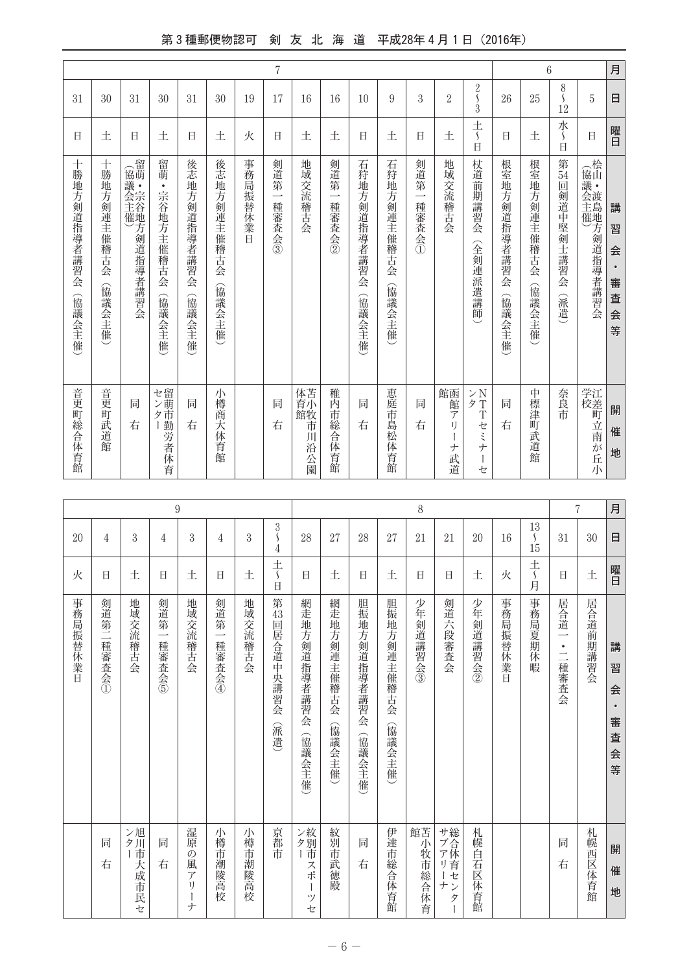## 第3種郵便物認可 剣 友 北 海 道 平成28年4月1日 (2016年)

| 月 | 日                         | 曜日                                         | 講<br>習<br>会<br>審<br>査<br>会<br>等          | 開<br>催<br>地                                                 |
|---|---------------------------|--------------------------------------------|------------------------------------------|-------------------------------------------------------------|
|   | 5                         | 日                                          | (協議会主催)を通道指導者講習会                         | 学江<br>校差<br>町立南が丘小                                          |
|   | 8<br>Ś<br>12              | 水<br>$\Box$                                | 第<br>54<br>回剣道中<br>堅剣士講習会<br>(派遣         | 奈良<br>市                                                     |
| 6 | 25                        | 土                                          | 根室地<br>方剣連主催稽古会<br>(協議会主催                | 中標津町武道館                                                     |
|   | 26                        | Ħ                                          | 根室地方剣道指導者講習会<br>(協議会主催                   | 同<br>右                                                      |
|   | $\frac{2}{\sqrt{2}}$<br>3 | 土<br>$\mathcal{S}_{\mathcal{S}}$<br>$\Box$ | 杖道前期講習会<br>(全剣連派遣講師                      | > N<br>タ<br>$\ensuremath{\mathrm{T}}$<br>T<br>セミナ<br>Ì<br>セ |
|   | $\overline{2}$            | 土                                          | 地域交流稽古会                                  | 館函館<br>$\overline{r}$<br>IJ<br>ナ<br>武道                      |
|   | 3                         | 日                                          | 剣道第<br>$\overline{\phantom{a}}$<br>種審査会① | 同<br>右                                                      |
|   | 9                         | 土                                          | 石狩地方剣連主催稽古会<br>(協議会主催                    | 恵庭市島松体育館                                                    |
|   | 10                        | E                                          | 石狩地方剣道指導者講習会<br>(協議会主催)                  | 同<br>右                                                      |
|   | 16                        | 土                                          | 剣道第<br>$\overline{\phantom{a}}$<br>種審査会② | 稚内市総合体育館                                                    |
|   | 16                        | 土                                          | 地域交流稽古会                                  | 体苫<br>育小<br>館牧<br>市<br>川沿公園                                 |
| 7 | 17                        | 日                                          | 剣道第<br>$\overline{\phantom{0}}$<br>種審査会③ | 同<br>右                                                      |
|   | 19                        | 火                                          | 事務局振替休<br>業日                             |                                                             |
|   | 30                        | 土                                          | 後志地<br>方剣連<br>主催稽古会<br>(協議会主催            | 小<br>樽商<br>大体育館                                             |
|   | 31                        | Ħ                                          | 後志地方剣道指導者講習会<br>(協議会主催                   | 同<br>右                                                      |
|   | 30                        | 土                                          | 留萌<br>$\bullet$<br>宗谷地方主催稽古会<br>(協議会主催   | セ留ン萌<br>ター おうしょう しゅうしょう かんしゃ しゅうしょう かんしょう かんしょう             |
|   | 31                        | Ħ                                          | (協議会主催)を指導者講習会ののことによる。                   | 同<br>右                                                      |
|   | 30                        | 土                                          | 十勝地方剣連主催稽古会<br>(協議会主催                    | 音更町武道館                                                      |
|   | 31                        | 日                                          | 十勝地方剣道指導者講習会<br>(協議会主催                   | 音更町総合体育館                                                    |

|           |                 |                                          | $\boldsymbol{9}$                                                                   |                                          |         |                                 |                         |                       |                         |                       | $\,8\,$       |               |          |          |                                         |                                                       | 7        | 月                           |
|-----------|-----------------|------------------------------------------|------------------------------------------------------------------------------------|------------------------------------------|---------|---------------------------------|-------------------------|-----------------------|-------------------------|-----------------------|---------------|---------------|----------|----------|-----------------------------------------|-------------------------------------------------------|----------|-----------------------------|
| 4         | 3               | 4                                        | 3                                                                                  | 4                                        | 3       | $\frac{3}{5}$<br>$\overline{4}$ | 28                      | 27                    | 28                      | 27                    | 21            | 21            | 20       | 16       | 13<br>$\mathcal{S}_{\mathcal{S}}$<br>15 | 31                                                    | 30       | 日                           |
| Ħ         | 土               | Ħ                                        | 土                                                                                  | 日                                        | 土       | $rac{+}{5}$<br>日                | 日                       | 土                     | 日                       | 土                     | 日             | 日             | 土        | 火        | $\frac{+}{\sqrt{2}}$<br>月               | Ħ                                                     | 土        | 曜日                          |
| 剣道第二種審査会① | 地域交流稽古会         | 剣道第<br>$\overline{\phantom{0}}$<br>種審査会の | 地域交流稽古会                                                                            | 剣道第<br>$\overline{\phantom{a}}$<br>種審査会④ | 地域交流稽古会 | 第<br>43<br>回居合道中央講習会<br>(派遣)    | 網走地方剣道指導者講習会<br>(協議会主催) | 網走地方剣連主催稽古会<br>(協議会主催 | 胆振地方剣道指導者講習会<br>(協議会主催) | 胆振地方剣連主催稽古会<br>(協議会主催 | 少年剣道講習会③      | 剣道六段審査会       | 少年剣道講習会② | 事務局振替休業日 | 事務局夏期休暇                                 | 居合道<br>$\overline{\phantom{0}}$<br>$\bullet$<br>二種審査会 | 居合道前期講習会 | 講<br>習<br>会<br>審<br>査<br>会等 |
| 同<br>右    | ンター<br>旭川市大成市民セ | 同<br>右                                   | 湿<br>原<br>$\mathcal{O}$<br>風<br>$\overline{\mathcal{T}}$<br>IJ<br>$\boldsymbol{+}$ | 小樽市潮陵高校                                  | 小樽市潮陵高校 | 京都市                             | ンター<br>紋別市スポ<br>ッ<br>セ  | 紋別市武徳殿                | 同<br>右                  | 伊達市総合体育館              | 館<br>苫小牧市総合体育 | サブアリー<br>ナンター | 札幌白石区体育館 |          |                                         | 同<br>右                                                | 札幌西区体育館  | 開<br>催<br>地                 |